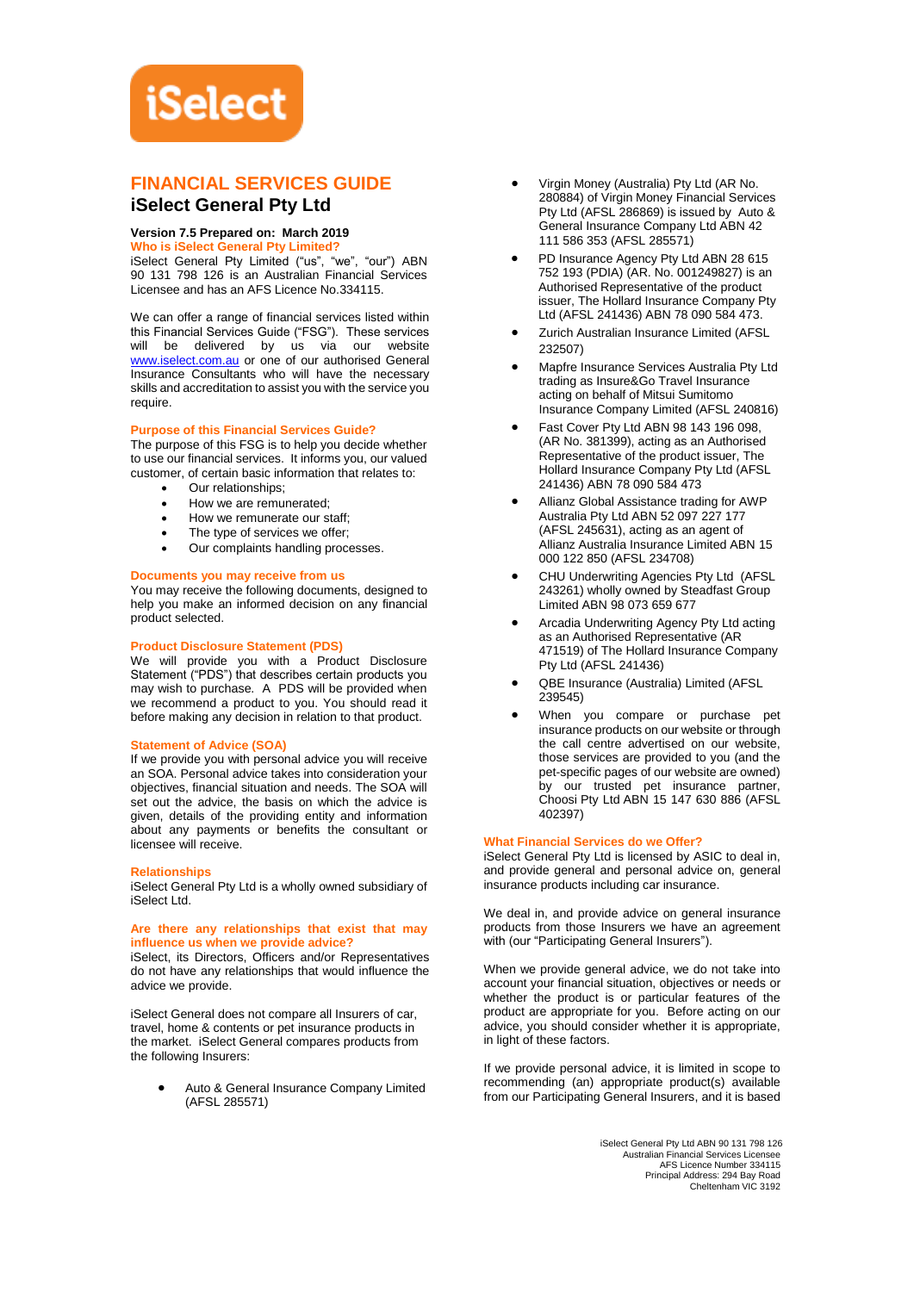# **iSelect**

# **FINANCIAL SERVICES GUIDE**

# **iSelect General Pty Ltd**

## **Version 7.5 Prepared on: March 2019**

**Who is iSelect General Pty Limited?**

iSelect General Pty Limited ("us", "we", "our") ABN 90 131 798 126 is an Australian Financial Services Licensee and has an AFS Licence No.334115.

We can offer a range of financial services listed within this Financial Services Guide ("FSG"). These services will be delivered by us via our website [www.iselect.com.au](http://www.iselect.com.au/) or one of our authorised General Insurance Consultants who will have the necessary skills and accreditation to assist you with the service you require.

#### **Purpose of this Financial Services Guide?**

The purpose of this FSG is to help you decide whether to use our financial services. It informs you, our valued customer, of certain basic information that relates to:

- Our relationships:
- How we are remunerated;
- How we remunerate our staff:
- The type of services we offer;
- Our complaints handling processes.

#### **Documents you may receive from us**

You may receive the following documents, designed to help you make an informed decision on any financial product selected.

#### **Product Disclosure Statement (PDS)**

We will provide you with a Product Disclosure Statement ("PDS") that describes certain products you may wish to purchase. A PDS will be provided when we recommend a product to you. You should read it before making any decision in relation to that product.

#### **Statement of Advice (SOA)**

If we provide you with personal advice you will receive an SOA. Personal advice takes into consideration your objectives, financial situation and needs. The SOA will set out the advice, the basis on which the advice is given, details of the providing entity and information about any payments or benefits the consultant or licensee will receive.

#### **Relationships**

iSelect General Pty Ltd is a wholly owned subsidiary of iSelect Ltd.

#### **Are there any relationships that exist that may influence us when we provide advice?**

iSelect, its Directors, Officers and/or Representatives do not have any relationships that would influence the advice we provide.

iSelect General does not compare all Insurers of car, travel, home & contents or pet insurance products in the market. iSelect General compares products from the following Insurers:

> Auto & General Insurance Company Limited (AFSL 285571)

- Virgin Money (Australia) Pty Ltd (AR No. 280884) of Virgin Money Financial Services Pty Ltd (AFSL 286869) is issued by Auto & General Insurance Company Ltd ABN 42 111 586 353 (AFSL 285571)
- PD Insurance Agency Pty Ltd ABN 28 615 752 193 (PDIA) (AR. No. 001249827) is an Authorised Representative of the product issuer, The Hollard Insurance Company Pty Ltd (AFSL 241436) ABN 78 090 584 473.
- Zurich Australian Insurance Limited (AFSL 232507)
- Mapfre Insurance Services Australia Pty Ltd trading as Insure&Go Travel Insurance acting on behalf of Mitsui Sumitomo Insurance Company Limited (AFSL 240816)
- Fast Cover Pty Ltd ABN 98 143 196 098, (AR No. 381399), acting as an Authorised Representative of the product issuer, The Hollard Insurance Company Pty Ltd (AFSL 241436) ABN 78 090 584 473
- Allianz Global Assistance trading for AWP Australia Pty Ltd ABN 52 097 227 177 (AFSL 245631), acting as an agent of Allianz Australia Insurance Limited ABN 15 000 122 850 (AFSL 234708)
- CHU Underwriting Agencies Pty Ltd (AFSL 243261) wholly owned by Steadfast Group Limited ABN 98 073 659 677
- Arcadia Underwriting Agency Pty Ltd acting as an Authorised Representative (AR 471519) of The Hollard Insurance Company Pty Ltd (AFSL 241436)
- QBE Insurance (Australia) Limited (AFSL 239545)
- When you compare or purchase pet insurance products on our website or through the call centre advertised on our website, those services are provided to you (and the pet-specific pages of our website are owned) by our trusted pet insurance partner, Choosi Pty Ltd ABN 15 147 630 886 (AFSL 402397)

#### **What Financial Services do we Offer?**

iSelect General Pty Ltd is licensed by ASIC to deal in, and provide general and personal advice on, general insurance products including car insurance.

We deal in, and provide advice on general insurance products from those Insurers we have an agreement with (our "Participating General Insurers").

When we provide general advice, we do not take into account your financial situation, objectives or needs or whether the product is or particular features of the product are appropriate for you. Before acting on our advice, you should consider whether it is appropriate, in light of these factors.

If we provide personal advice, it is limited in scope to recommending (an) appropriate product(s) available from our Participating General Insurers, and it is based

> iSelect General Pty Ltd ABN 90 131 798 126 Australian Financial Services Licensee AFS Licence Number 334115 Principal Address: 294 Bay Road Cheltenham VIC 3192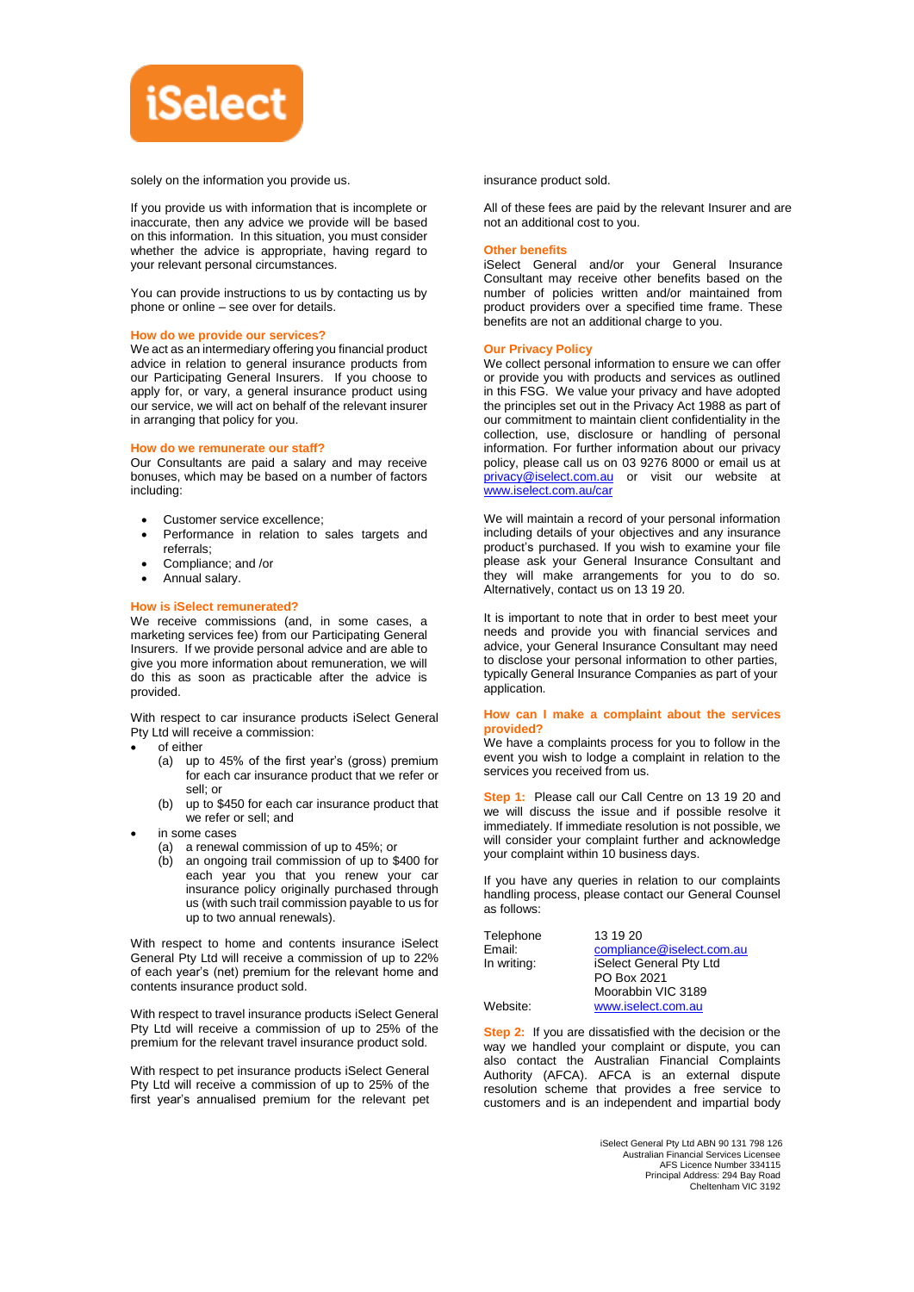

solely on the information you provide us.

If you provide us with information that is incomplete or inaccurate, then any advice we provide will be based on this information. In this situation, you must consider whether the advice is appropriate, having regard to your relevant personal circumstances.

You can provide instructions to us by contacting us by phone or online – see over for details.

#### **How do we provide our services?**

We act as an intermediary offering you financial product advice in relation to general insurance products from our Participating General Insurers. If you choose to apply for, or vary, a general insurance product using our service, we will act on behalf of the relevant insurer in arranging that policy for you.

#### **How do we remunerate our staff?**

Our Consultants are paid a salary and may receive bonuses, which may be based on a number of factors including:

- Customer service excellence;
- Performance in relation to sales targets and referrals;
- Compliance; and /or
- Annual salary.

#### **How is iSelect remunerated?**

We receive commissions (and, in some cases, a marketing services fee) from our Participating General Insurers. If we provide personal advice and are able to give you more information about remuneration, we will do this as soon as practicable after the advice is provided.

With respect to car insurance products iSelect General Pty Ltd will receive a commission:

- of either
	- (a) up to 45% of the first year's (gross) premium for each car insurance product that we refer or sell; or
	- (b) up to \$450 for each car insurance product that we refer or sell; and
- in some cases
	- (a) a renewal commission of up to 45%; or
	- (b) an ongoing trail commission of up to \$400 for each year you that you renew your car insurance policy originally purchased through us (with such trail commission payable to us for up to two annual renewals).

With respect to home and contents insurance iSelect General Pty Ltd will receive a commission of up to 22% of each year's (net) premium for the relevant home and contents insurance product sold.

With respect to travel insurance products iSelect General Pty Ltd will receive a commission of up to 25% of the premium for the relevant travel insurance product sold.

With respect to pet insurance products iSelect General Pty Ltd will receive a commission of up to 25% of the first year's annualised premium for the relevant pet insurance product sold.

All of these fees are paid by the relevant Insurer and are not an additional cost to you.

#### **Other benefits**

iSelect General and/or your General Insurance Consultant may receive other benefits based on the number of policies written and/or maintained from product providers over a specified time frame. These benefits are not an additional charge to you.

#### **Our Privacy Policy**

We collect personal information to ensure we can offer or provide you with products and services as outlined in this FSG. We value your privacy and have adopted the principles set out in the Privacy Act 1988 as part of our commitment to maintain client confidentiality in the collection, use, disclosure or handling of personal information. For further information about our privacy policy, please call us on 03 9276 8000 or email us at [privacy@iselect.com.au](mailto:privacy@iselect.com.au) or visit our website at [www.iselect.com.au/car](http://www.iselect.com.au/car)

We will maintain a record of your personal information including details of your objectives and any insurance product's purchased. If you wish to examine your file please ask your General Insurance Consultant and they will make arrangements for you to do so. Alternatively, contact us on 13 19 20.

It is important to note that in order to best meet your needs and provide you with financial services and advice, your General Insurance Consultant may need to disclose your personal information to other parties, typically General Insurance Companies as part of your application.

#### **How can I make a complaint about the services provided?**

We have a complaints process for you to follow in the event you wish to lodge a complaint in relation to the services you received from us.

**Step 1:** Please call our Call Centre on 13 19 20 and we will discuss the issue and if possible resolve it immediately. If immediate resolution is not possible, we will consider your complaint further and acknowledge your complaint within 10 business days.

If you have any queries in relation to our complaints handling process, please contact our General Counsel as follows:

| Telephone   | 13 19 20                  |
|-------------|---------------------------|
| Email:      | compliance@iselect.com.au |
| In writing: | iSelect General Pty Ltd   |
|             | PO Box 2021               |
|             | Moorabbin VIC 3189        |
| Website:    | www.iselect.com.au        |

**Step 2:** If you are dissatisfied with the decision or the way we handled your complaint or dispute, you can also contact the Australian Financial Complaints Authority (AFCA). AFCA is an external dispute resolution scheme that provides a free service to customers and is an independent and impartial body

> iSelect General Pty Ltd ABN 90 131 798 126 Australian Financial Services Licensee AFS Licence Number 334115 Principal Address: 294 Bay Road Cheltenham VIC 3192